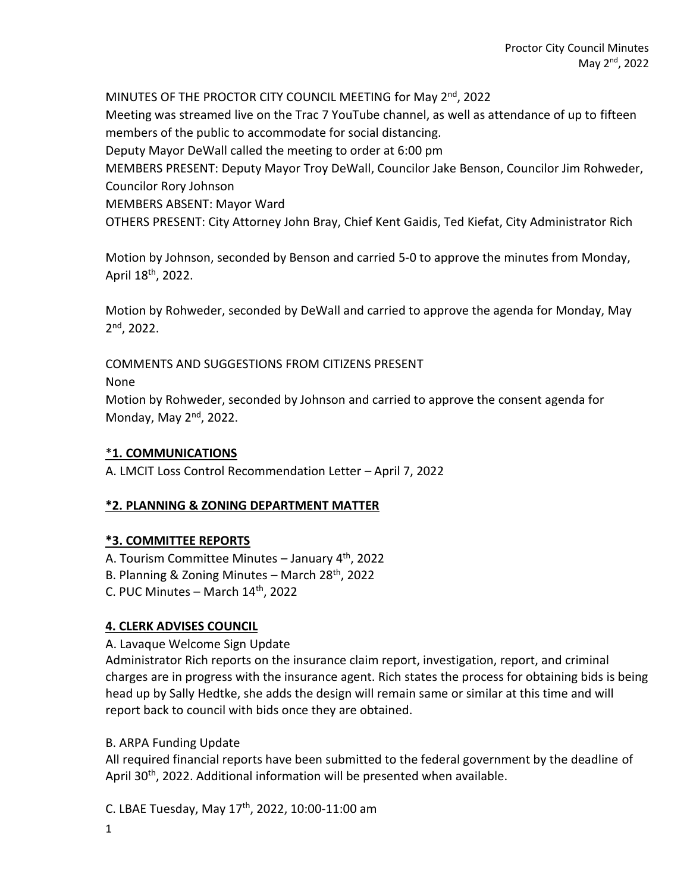MINUTES OF THE PROCTOR CITY COUNCIL MEETING for May 2<sup>nd</sup>, 2022 Meeting was streamed live on the Trac 7 YouTube channel, as well as attendance of up to fifteen members of the public to accommodate for social distancing. Deputy Mayor DeWall called the meeting to order at 6:00 pm MEMBERS PRESENT: Deputy Mayor Troy DeWall, Councilor Jake Benson, Councilor Jim Rohweder, Councilor Rory Johnson

MEMBERS ABSENT: Mayor Ward

OTHERS PRESENT: City Attorney John Bray, Chief Kent Gaidis, Ted Kiefat, City Administrator Rich

Motion by Johnson, seconded by Benson and carried 5-0 to approve the minutes from Monday, April 18<sup>th</sup>, 2022.

Motion by Rohweder, seconded by DeWall and carried to approve the agenda for Monday, May 2 nd, 2022.

COMMENTS AND SUGGESTIONS FROM CITIZENS PRESENT

None

Motion by Rohweder, seconded by Johnson and carried to approve the consent agenda for Monday, May 2<sup>nd</sup>, 2022.

### \***1. COMMUNICATIONS**

A. LMCIT Loss Control Recommendation Letter – April 7, 2022

### **\*2. PLANNING & ZONING DEPARTMENT MATTER**

### **\*3. COMMITTEE REPORTS**

A. Tourism Committee Minutes – January 4th, 2022 B. Planning & Zoning Minutes – March 28th, 2022 C. PUC Minutes – March  $14<sup>th</sup>$ , 2022

### **4. CLERK ADVISES COUNCIL**

A. Lavaque Welcome Sign Update

Administrator Rich reports on the insurance claim report, investigation, report, and criminal charges are in progress with the insurance agent. Rich states the process for obtaining bids is being head up by Sally Hedtke, she adds the design will remain same or similar at this time and will report back to council with bids once they are obtained.

### B. ARPA Funding Update

All required financial reports have been submitted to the federal government by the deadline of April 30<sup>th</sup>, 2022. Additional information will be presented when available.

C. LBAE Tuesday, May 17th, 2022, 10:00-11:00 am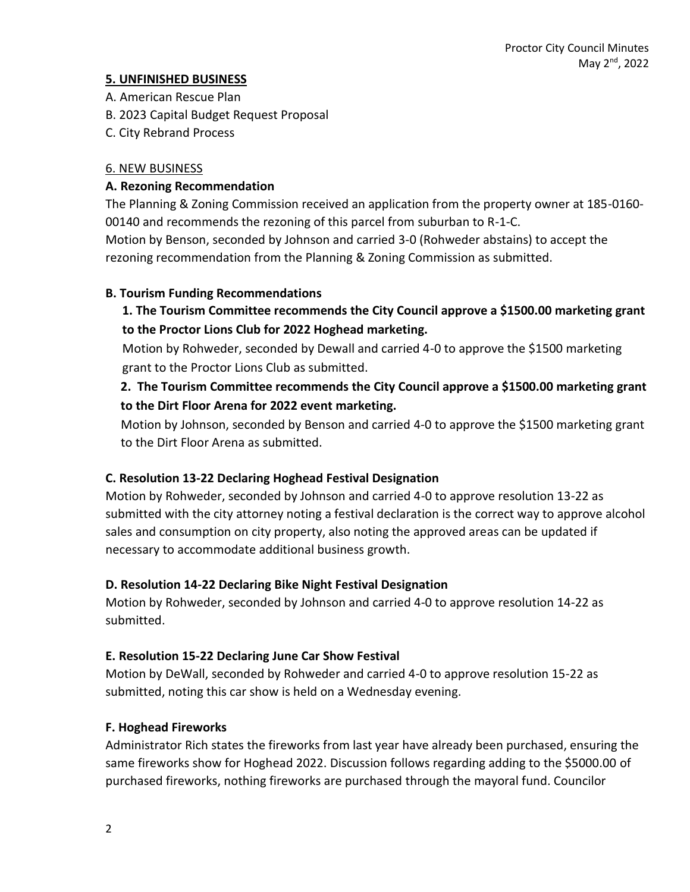## **5. UNFINISHED BUSINESS**

- A. American Rescue Plan
- B. 2023 Capital Budget Request Proposal
- C. City Rebrand Process

## 6. NEW BUSINESS

## **A. Rezoning Recommendation**

The Planning & Zoning Commission received an application from the property owner at 185-0160- 00140 and recommends the rezoning of this parcel from suburban to R-1-C.

Motion by Benson, seconded by Johnson and carried 3-0 (Rohweder abstains) to accept the rezoning recommendation from the Planning & Zoning Commission as submitted.

## **B. Tourism Funding Recommendations**

# **1. The Tourism Committee recommends the City Council approve a \$1500.00 marketing grant to the Proctor Lions Club for 2022 Hoghead marketing.**

Motion by Rohweder, seconded by Dewall and carried 4-0 to approve the \$1500 marketing grant to the Proctor Lions Club as submitted.

# **2. The Tourism Committee recommends the City Council approve a \$1500.00 marketing grant to the Dirt Floor Arena for 2022 event marketing.**

Motion by Johnson, seconded by Benson and carried 4-0 to approve the \$1500 marketing grant to the Dirt Floor Arena as submitted.

# **C. Resolution 13-22 Declaring Hoghead Festival Designation**

Motion by Rohweder, seconded by Johnson and carried 4-0 to approve resolution 13-22 as submitted with the city attorney noting a festival declaration is the correct way to approve alcohol sales and consumption on city property, also noting the approved areas can be updated if necessary to accommodate additional business growth.

# **D. Resolution 14-22 Declaring Bike Night Festival Designation**

Motion by Rohweder, seconded by Johnson and carried 4-0 to approve resolution 14-22 as submitted.

### **E. Resolution 15-22 Declaring June Car Show Festival**

Motion by DeWall, seconded by Rohweder and carried 4-0 to approve resolution 15-22 as submitted, noting this car show is held on a Wednesday evening.

# **F. Hoghead Fireworks**

Administrator Rich states the fireworks from last year have already been purchased, ensuring the same fireworks show for Hoghead 2022. Discussion follows regarding adding to the \$5000.00 of purchased fireworks, nothing fireworks are purchased through the mayoral fund. Councilor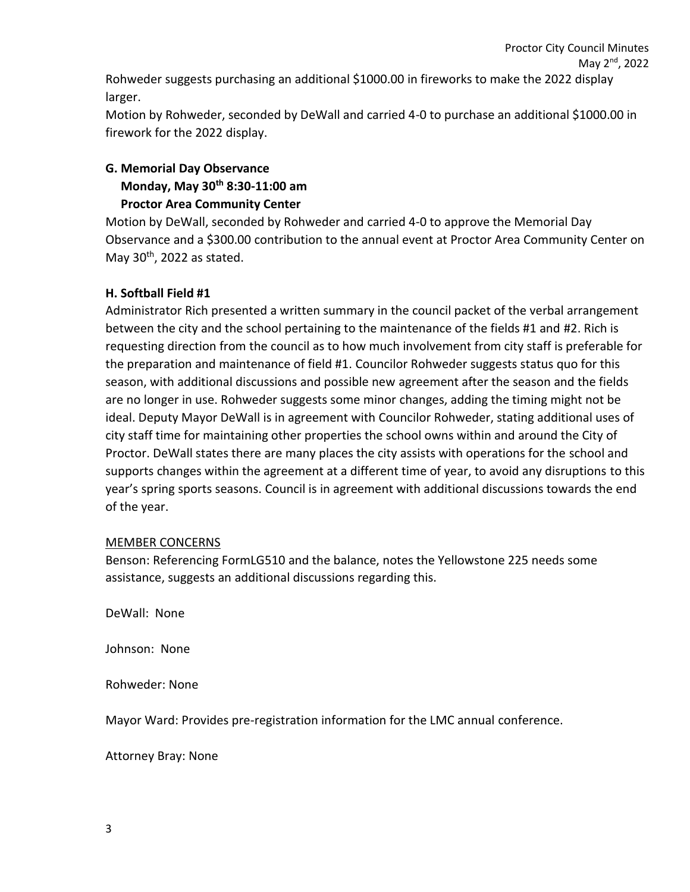Proctor City Council Minutes May 2<sup>nd</sup>, 2022

Rohweder suggests purchasing an additional \$1000.00 in fireworks to make the 2022 display larger.

Motion by Rohweder, seconded by DeWall and carried 4-0 to purchase an additional \$1000.00 in firework for the 2022 display.

# **G. Memorial Day Observance Monday, May 30th 8:30-11:00 am Proctor Area Community Center**

Motion by DeWall, seconded by Rohweder and carried 4-0 to approve the Memorial Day Observance and a \$300.00 contribution to the annual event at Proctor Area Community Center on May  $30<sup>th</sup>$ , 2022 as stated.

## **H. Softball Field #1**

Administrator Rich presented a written summary in the council packet of the verbal arrangement between the city and the school pertaining to the maintenance of the fields #1 and #2. Rich is requesting direction from the council as to how much involvement from city staff is preferable for the preparation and maintenance of field #1. Councilor Rohweder suggests status quo for this season, with additional discussions and possible new agreement after the season and the fields are no longer in use. Rohweder suggests some minor changes, adding the timing might not be ideal. Deputy Mayor DeWall is in agreement with Councilor Rohweder, stating additional uses of city staff time for maintaining other properties the school owns within and around the City of Proctor. DeWall states there are many places the city assists with operations for the school and supports changes within the agreement at a different time of year, to avoid any disruptions to this year's spring sports seasons. Council is in agreement with additional discussions towards the end of the year.

### MEMBER CONCERNS

Benson: Referencing FormLG510 and the balance, notes the Yellowstone 225 needs some assistance, suggests an additional discussions regarding this.

DeWall: None

Johnson: None

Rohweder: None

Mayor Ward: Provides pre-registration information for the LMC annual conference.

Attorney Bray: None